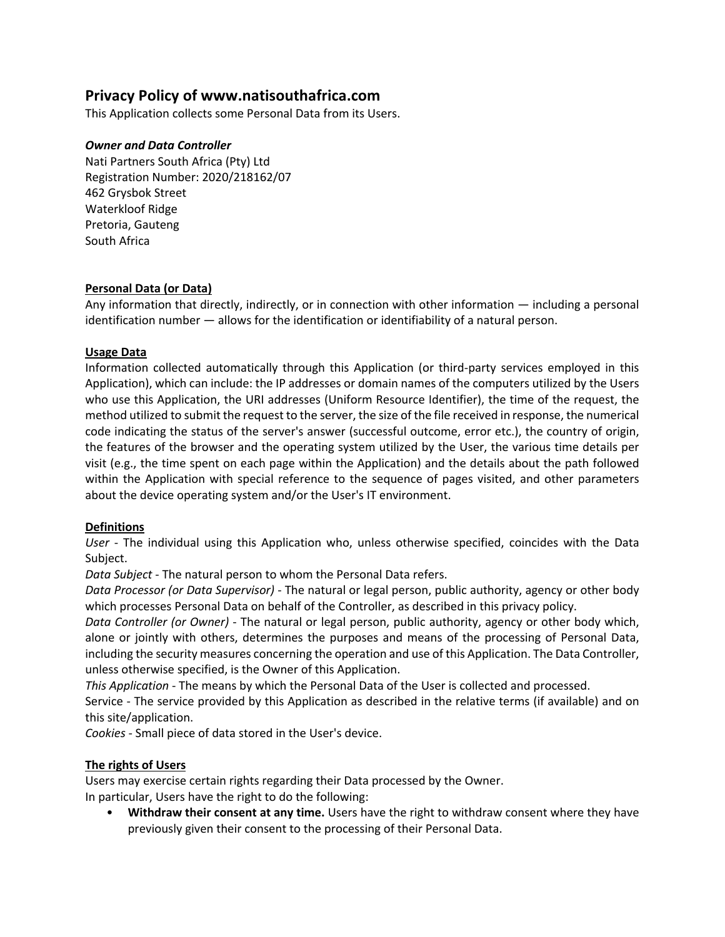# **Privacy Policy of www.natisouthafrica.com**

This Application collects some Personal Data from its Users.

## *Owner and Data Controller*

Nati Partners South Africa (Pty) Ltd Registration Number: 2020/218162/07 462 Grysbok Street Waterkloof Ridge Pretoria, Gauteng South Africa

## **Personal Data (or Data)**

Any information that directly, indirectly, or in connection with other information — including a personal identification number — allows for the identification or identifiability of a natural person.

## **Usage Data**

Information collected automatically through this Application (or third-party services employed in this Application), which can include: the IP addresses or domain names of the computers utilized by the Users who use this Application, the URI addresses (Uniform Resource Identifier), the time of the request, the method utilized to submit the request to the server, the size of the file received in response, the numerical code indicating the status of the server's answer (successful outcome, error etc.), the country of origin, the features of the browser and the operating system utilized by the User, the various time details per visit (e.g., the time spent on each page within the Application) and the details about the path followed within the Application with special reference to the sequence of pages visited, and other parameters about the device operating system and/or the User's IT environment.

#### **Definitions**

*User* - The individual using this Application who, unless otherwise specified, coincides with the Data Subject.

*Data Subject* - The natural person to whom the Personal Data refers.

*Data Processor (or Data Supervisor)* - The natural or legal person, public authority, agency or other body which processes Personal Data on behalf of the Controller, as described in this privacy policy.

*Data Controller (or Owner)* - The natural or legal person, public authority, agency or other body which, alone or jointly with others, determines the purposes and means of the processing of Personal Data, including the security measures concerning the operation and use of this Application. The Data Controller, unless otherwise specified, is the Owner of this Application.

*This Application* - The means by which the Personal Data of the User is collected and processed.

Service - The service provided by this Application as described in the relative terms (if available) and on this site/application.

*Cookies* - Small piece of data stored in the User's device.

# **The rights of Users**

Users may exercise certain rights regarding their Data processed by the Owner.

In particular, Users have the right to do the following:

• **Withdraw their consent at any time.** Users have the right to withdraw consent where they have previously given their consent to the processing of their Personal Data.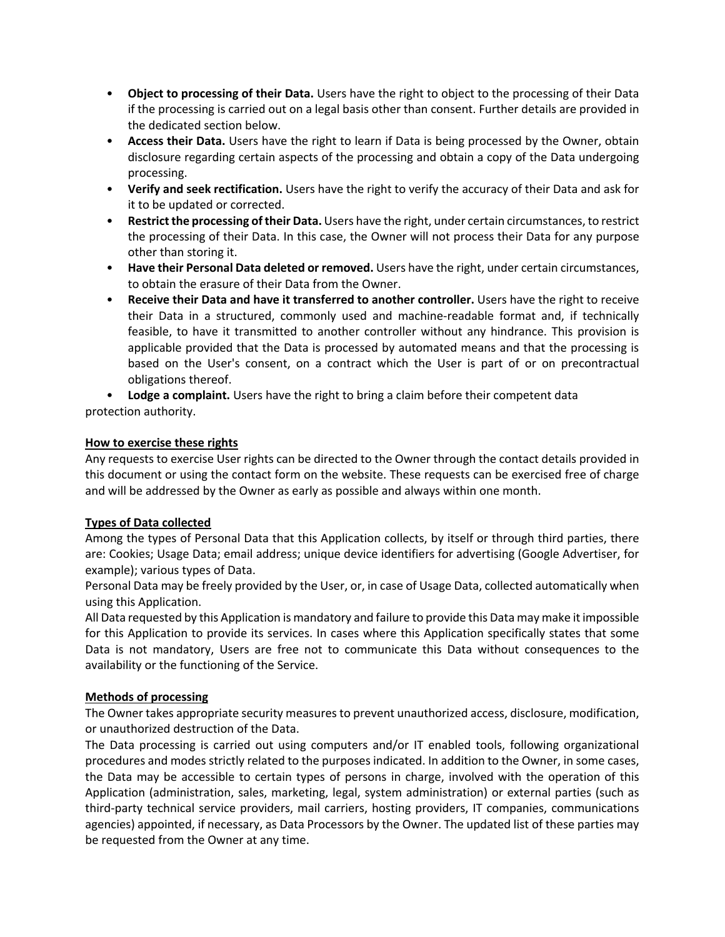- **Object to processing of their Data.** Users have the right to object to the processing of their Data if the processing is carried out on a legal basis other than consent. Further details are provided in the dedicated section below.
- **Access their Data.** Users have the right to learn if Data is being processed by the Owner, obtain disclosure regarding certain aspects of the processing and obtain a copy of the Data undergoing processing.
- **Verify and seek rectification.** Users have the right to verify the accuracy of their Data and ask for it to be updated or corrected.
- **Restrict the processing of their Data.** Users have the right, under certain circumstances, to restrict the processing of their Data. In this case, the Owner will not process their Data for any purpose other than storing it.
- **Have their Personal Data deleted or removed.** Users have the right, under certain circumstances, to obtain the erasure of their Data from the Owner.
- **Receive their Data and have it transferred to another controller.** Users have the right to receive their Data in a structured, commonly used and machine-readable format and, if technically feasible, to have it transmitted to another controller without any hindrance. This provision is applicable provided that the Data is processed by automated means and that the processing is based on the User's consent, on a contract which the User is part of or on precontractual obligations thereof.

• **Lodge a complaint.** Users have the right to bring a claim before their competent data protection authority.

## **How to exercise these rights**

Any requests to exercise User rights can be directed to the Owner through the contact details provided in this document or using the contact form on the website. These requests can be exercised free of charge and will be addressed by the Owner as early as possible and always within one month.

#### **Types of Data collected**

Among the types of Personal Data that this Application collects, by itself or through third parties, there are: Cookies; Usage Data; email address; unique device identifiers for advertising (Google Advertiser, for example); various types of Data.

Personal Data may be freely provided by the User, or, in case of Usage Data, collected automatically when using this Application.

All Data requested by this Application is mandatory and failure to provide this Data may make it impossible for this Application to provide its services. In cases where this Application specifically states that some Data is not mandatory, Users are free not to communicate this Data without consequences to the availability or the functioning of the Service.

#### **Methods of processing**

The Owner takes appropriate security measures to prevent unauthorized access, disclosure, modification, or unauthorized destruction of the Data.

The Data processing is carried out using computers and/or IT enabled tools, following organizational procedures and modes strictly related to the purposes indicated. In addition to the Owner, in some cases, the Data may be accessible to certain types of persons in charge, involved with the operation of this Application (administration, sales, marketing, legal, system administration) or external parties (such as third-party technical service providers, mail carriers, hosting providers, IT companies, communications agencies) appointed, if necessary, as Data Processors by the Owner. The updated list of these parties may be requested from the Owner at any time.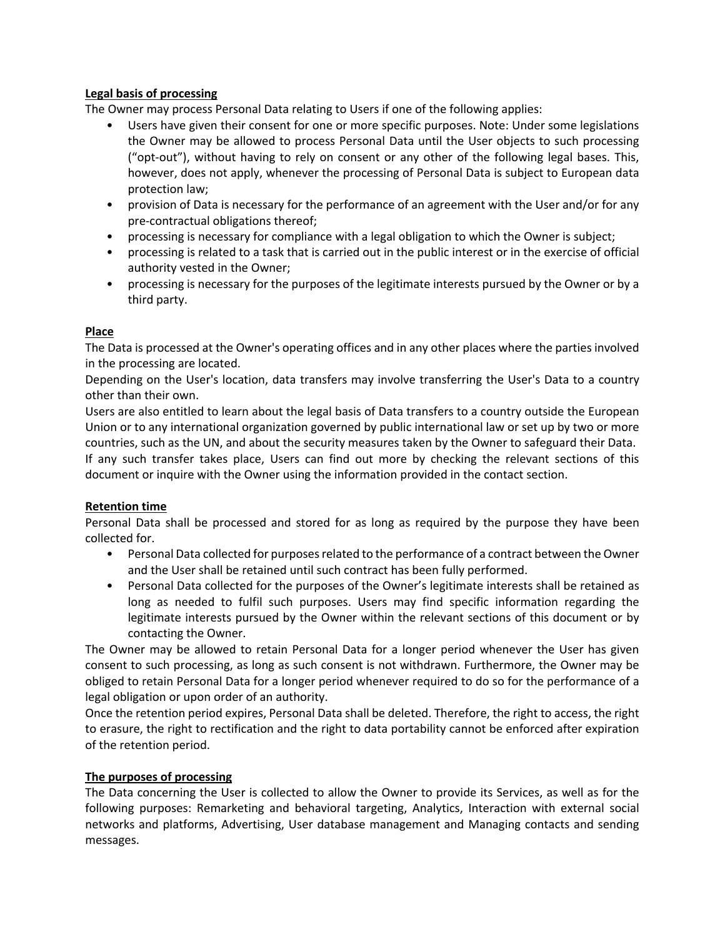## **Legal basis of processing**

The Owner may process Personal Data relating to Users if one of the following applies:

- Users have given their consent for one or more specific purposes. Note: Under some legislations the Owner may be allowed to process Personal Data until the User objects to such processing ("opt-out"), without having to rely on consent or any other of the following legal bases. This, however, does not apply, whenever the processing of Personal Data is subject to European data protection law;
- provision of Data is necessary for the performance of an agreement with the User and/or for any pre-contractual obligations thereof;
- processing is necessary for compliance with a legal obligation to which the Owner is subject;
- processing is related to a task that is carried out in the public interest or in the exercise of official authority vested in the Owner;
- processing is necessary for the purposes of the legitimate interests pursued by the Owner or by a third party.

## **Place**

The Data is processed at the Owner's operating offices and in any other places where the parties involved in the processing are located.

Depending on the User's location, data transfers may involve transferring the User's Data to a country other than their own.

Users are also entitled to learn about the legal basis of Data transfers to a country outside the European Union or to any international organization governed by public international law or set up by two or more countries, such as the UN, and about the security measures taken by the Owner to safeguard their Data. If any such transfer takes place, Users can find out more by checking the relevant sections of this document or inquire with the Owner using the information provided in the contact section.

# **Retention time**

Personal Data shall be processed and stored for as long as required by the purpose they have been collected for.

- Personal Data collected for purposes related to the performance of a contract between the Owner and the User shall be retained until such contract has been fully performed.
- Personal Data collected for the purposes of the Owner's legitimate interests shall be retained as long as needed to fulfil such purposes. Users may find specific information regarding the legitimate interests pursued by the Owner within the relevant sections of this document or by contacting the Owner.

The Owner may be allowed to retain Personal Data for a longer period whenever the User has given consent to such processing, as long as such consent is not withdrawn. Furthermore, the Owner may be obliged to retain Personal Data for a longer period whenever required to do so for the performance of a legal obligation or upon order of an authority.

Once the retention period expires, Personal Data shall be deleted. Therefore, the right to access, the right to erasure, the right to rectification and the right to data portability cannot be enforced after expiration of the retention period.

#### **The purposes of processing**

The Data concerning the User is collected to allow the Owner to provide its Services, as well as for the following purposes: Remarketing and behavioral targeting, Analytics, Interaction with external social networks and platforms, Advertising, User database management and Managing contacts and sending messages.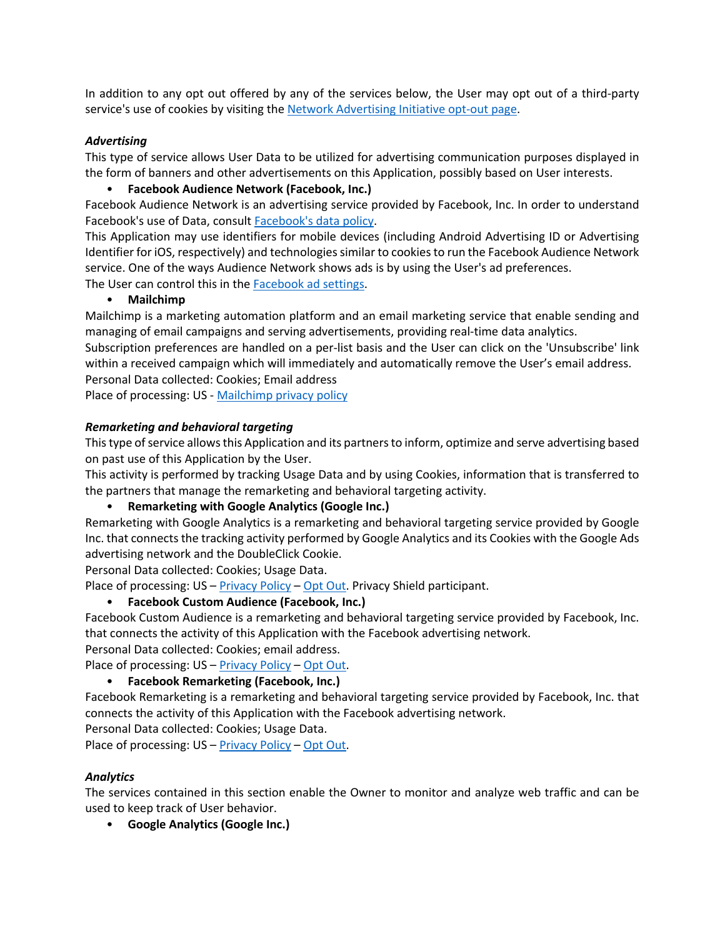In addition to any opt out offered by any of the services below, the User may opt out of a third-party service's use of cookies by visiting the Network Advertising Initiative opt-out page.

#### *Advertising*

This type of service allows User Data to be utilized for advertising communication purposes displayed in the form of banners and other advertisements on this Application, possibly based on User interests.

# • **Facebook Audience Network (Facebook, Inc.)**

Facebook Audience Network is an advertising service provided by Facebook, Inc. In order to understand Facebook's use of Data, consult Facebook's data policy.

This Application may use identifiers for mobile devices (including Android Advertising ID or Advertising Identifier for iOS, respectively) and technologies similar to cookies to run the Facebook Audience Network service. One of the ways Audience Network shows ads is by using the User's ad preferences. The User can control this in the Facebook ad settings.

## • **Mailchimp**

Mailchimp is a marketing automation platform and an email marketing service that enable sending and managing of email campaigns and serving advertisements, providing real-time data analytics.

Subscription preferences are handled on a per-list basis and the User can click on the 'Unsubscribe' link within a received campaign which will immediately and automatically remove the User's email address. Personal Data collected: Cookies; Email address

Place of processing: US - Mailchimp privacy policy

## *Remarketing and behavioral targeting*

This type of service allows this Application and its partners to inform, optimize and serve advertising based on past use of this Application by the User.

This activity is performed by tracking Usage Data and by using Cookies, information that is transferred to the partners that manage the remarketing and behavioral targeting activity.

#### • **Remarketing with Google Analytics (Google Inc.)**

Remarketing with Google Analytics is a remarketing and behavioral targeting service provided by Google Inc. that connects the tracking activity performed by Google Analytics and its Cookies with the Google Ads advertising network and the DoubleClick Cookie.

Personal Data collected: Cookies; Usage Data.

Place of processing: US – Privacy Policy – Opt Out. Privacy Shield participant.

# • **Facebook Custom Audience (Facebook, Inc.)**

Facebook Custom Audience is a remarketing and behavioral targeting service provided by Facebook, Inc. that connects the activity of this Application with the Facebook advertising network.

Personal Data collected: Cookies; email address.

Place of processing: US – Privacy Policy – Opt Out.

# • **Facebook Remarketing (Facebook, Inc.)**

Facebook Remarketing is a remarketing and behavioral targeting service provided by Facebook, Inc. that connects the activity of this Application with the Facebook advertising network.

Personal Data collected: Cookies; Usage Data.

Place of processing: US - Privacy Policy - Opt Out.

# *Analytics*

The services contained in this section enable the Owner to monitor and analyze web traffic and can be used to keep track of User behavior.

• **Google Analytics (Google Inc.)**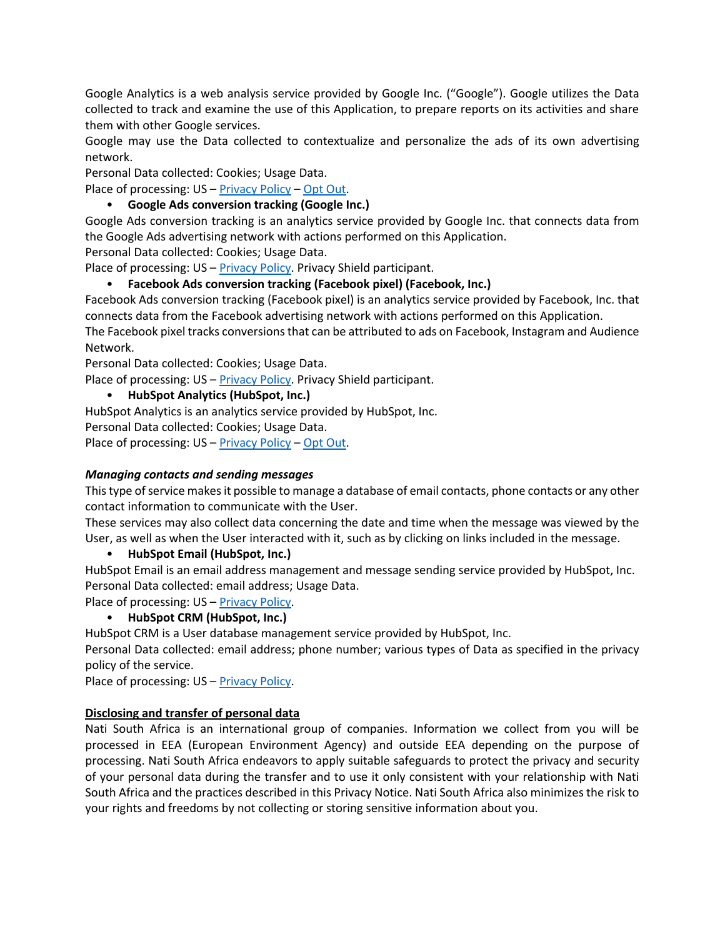Google Analytics is a web analysis service provided by Google Inc. ("Google"). Google utilizes the Data collected to track and examine the use of this Application, to prepare reports on its activities and share them with other Google services.

Google may use the Data collected to contextualize and personalize the ads of its own advertising network.

Personal Data collected: Cookies; Usage Data.

Place of processing: US - Privacy Policy - Opt Out.

## • **Google Ads conversion tracking (Google Inc.)**

Google Ads conversion tracking is an analytics service provided by Google Inc. that connects data from the Google Ads advertising network with actions performed on this Application.

Personal Data collected: Cookies; Usage Data.

Place of processing: US – Privacy Policy. Privacy Shield participant.

## • **Facebook Ads conversion tracking (Facebook pixel) (Facebook, Inc.)**

Facebook Ads conversion tracking (Facebook pixel) is an analytics service provided by Facebook, Inc. that connects data from the Facebook advertising network with actions performed on this Application.

The Facebook pixel tracks conversions that can be attributed to ads on Facebook, Instagram and Audience Network.

Personal Data collected: Cookies; Usage Data.

Place of processing: US – Privacy Policy. Privacy Shield participant.

## • **HubSpot Analytics (HubSpot, Inc.)**

HubSpot Analytics is an analytics service provided by HubSpot, Inc.

Personal Data collected: Cookies; Usage Data.

Place of processing: US – Privacy Policy – Opt Out.

#### *Managing contacts and sending messages*

This type of service makes it possible to manage a database of email contacts, phone contacts or any other contact information to communicate with the User.

These services may also collect data concerning the date and time when the message was viewed by the User, as well as when the User interacted with it, such as by clicking on links included in the message.

• **HubSpot Email (HubSpot, Inc.)**

HubSpot Email is an email address management and message sending service provided by HubSpot, Inc. Personal Data collected: email address; Usage Data.

Place of processing: US – Privacy Policy.

• **HubSpot CRM (HubSpot, Inc.)**

HubSpot CRM is a User database management service provided by HubSpot, Inc.

Personal Data collected: email address; phone number; various types of Data as specified in the privacy policy of the service.

Place of processing: US – Privacy Policy.

# **Disclosing and transfer of personal data**

Nati South Africa is an international group of companies. Information we collect from you will be processed in EEA (European Environment Agency) and outside EEA depending on the purpose of processing. Nati South Africa endeavors to apply suitable safeguards to protect the privacy and security of your personal data during the transfer and to use it only consistent with your relationship with Nati South Africa and the practices described in this Privacy Notice. Nati South Africa also minimizes the risk to your rights and freedoms by not collecting or storing sensitive information about you.